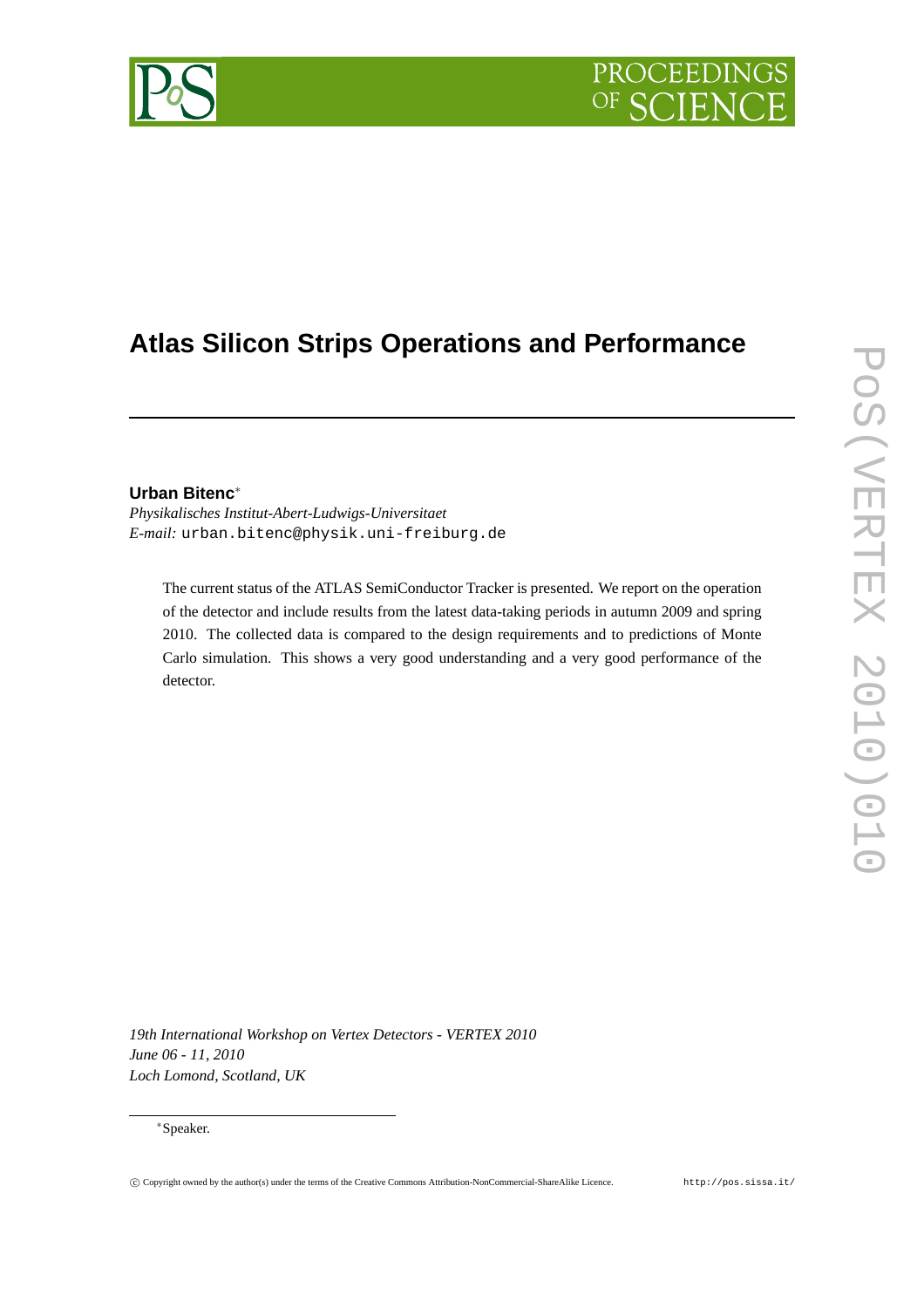# PROCEEDIN

## **Atlas Silicon Strips Operations and Performance**

### **Urban Bitenc**∗

*Physikalisches Institut-Abert-Ludwigs-Universitaet E-mail:* urban.bitenc@physik.uni-freiburg.de

The current status of the ATLAS SemiConductor Tracker is presented. We report on the operation of the detector and include results from the latest data-taking periods in autumn 2009 and spring 2010. The collected data is compared to the design requirements and to predictions of Monte Carlo simulation. This shows a very good understanding and a very good performance of the detector.

*19th International Workshop on Vertex Detectors - VERTEX 2010 June 06 - 11, 2010 Loch Lomond, Scotland, UK*

#### ∗Speaker.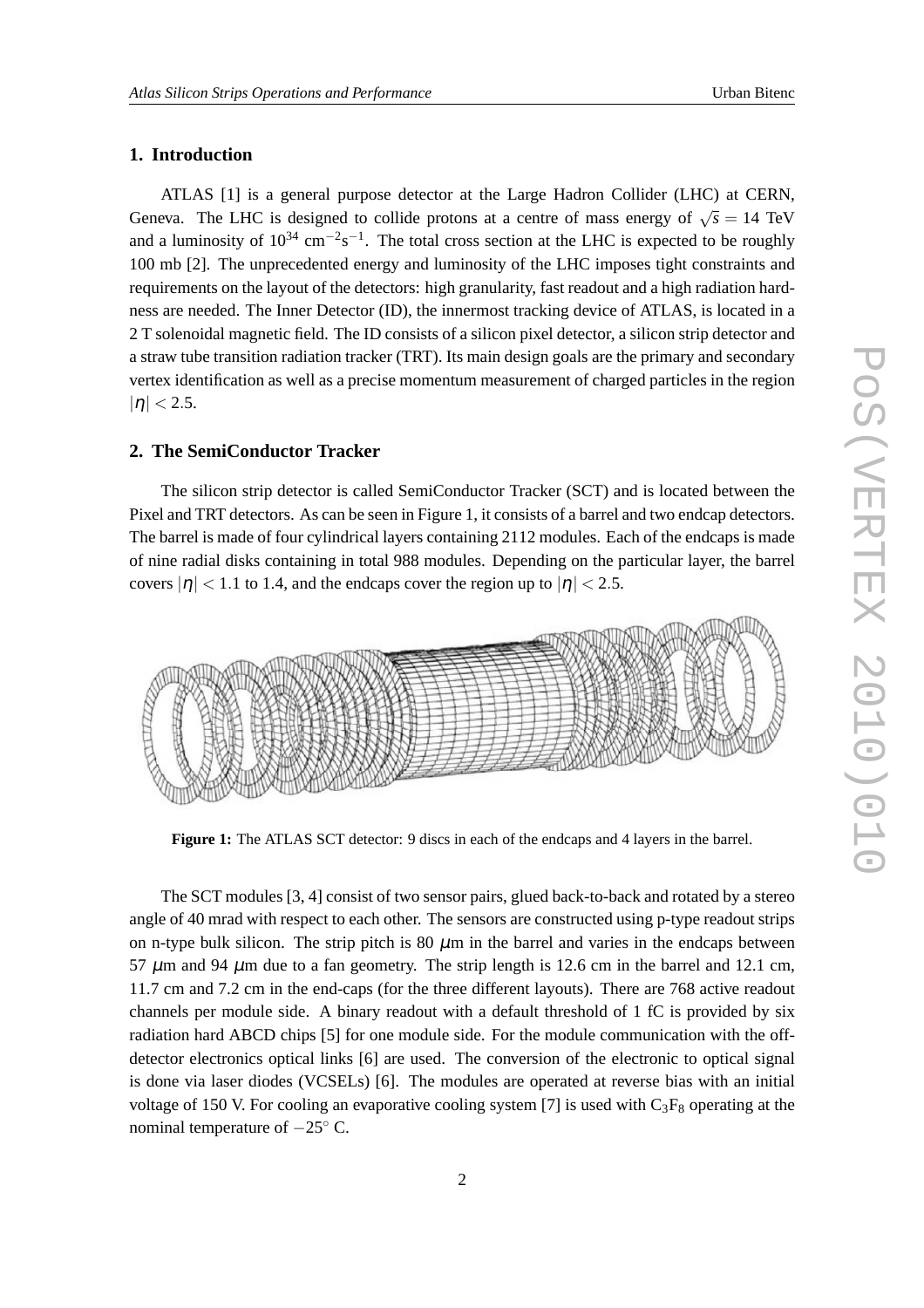#### **1. Introduction**

ATLAS [1] is a general purpose detector at the Large Hadron Collider (LHC) at CERN, Geneva. The LHC is designed to collide protons at a centre of mass energy of  $\sqrt{s} = 14$  TeV and a luminosity of  $10^{34}$  cm<sup>-2</sup>s<sup>-1</sup>. The total cross section at the LHC is expected to be roughly 100 mb [2]. The unprecedented energy and luminosity of the LHC imposes tight constraints and requirements on the layout of the detectors: high granularity, fast readout and a high radiation hardness are needed. The Inner Detector (ID), the innermost tracking device of ATLAS, is located in a 2 T solenoidal magnetic field. The ID consists of a silicon pixel detector, a silicon strip detector and a straw tube transition radiation tracker (TRT). Its main design goals are the primary and secondary vertex identification as well as a precise momentum measurement of charged particles in the region  $|\eta|$  < 2.5.

#### **2. The SemiConductor Tracker**

The silicon strip detector is called SemiConductor Tracker (SCT) and is located between the Pixel and TRT detectors. As can be seen in Figure 1, it consists of a barrel and two endcap detectors. The barrel is made of four cylindrical layers containing 2112 modules. Each of the endcaps is made of nine radial disks containing in total 988 modules. Depending on the particular layer, the barrel covers  $|\eta|$  < 1.1 to 1.4, and the endcaps cover the region up to  $|\eta|$  < 2.5.



**Figure 1:** The ATLAS SCT detector: 9 discs in each of the endcaps and 4 layers in the barrel.

The SCT modules [3, 4] consist of two sensor pairs, glued back-to-back and rotated by a stereo angle of 40 mrad with respect to each other. The sensors are constructed using p-type readout strips on n-type bulk silicon. The strip pitch is 80  $\mu$ m in the barrel and varies in the endcaps between 57  $\mu$ m and 94  $\mu$ m due to a fan geometry. The strip length is 12.6 cm in the barrel and 12.1 cm, 11.7 cm and 7.2 cm in the end-caps (for the three different layouts). There are 768 active readout channels per module side. A binary readout with a default threshold of 1 fC is provided by six radiation hard ABCD chips [5] for one module side. For the module communication with the offdetector electronics optical links [6] are used. The conversion of the electronic to optical signal is done via laser diodes (VCSELs) [6]. The modules are operated at reverse bias with an initial voltage of 150 V. For cooling an evaporative cooling system [7] is used with  $C_3F_8$  operating at the nominal temperature of  $-25^\circ$  C.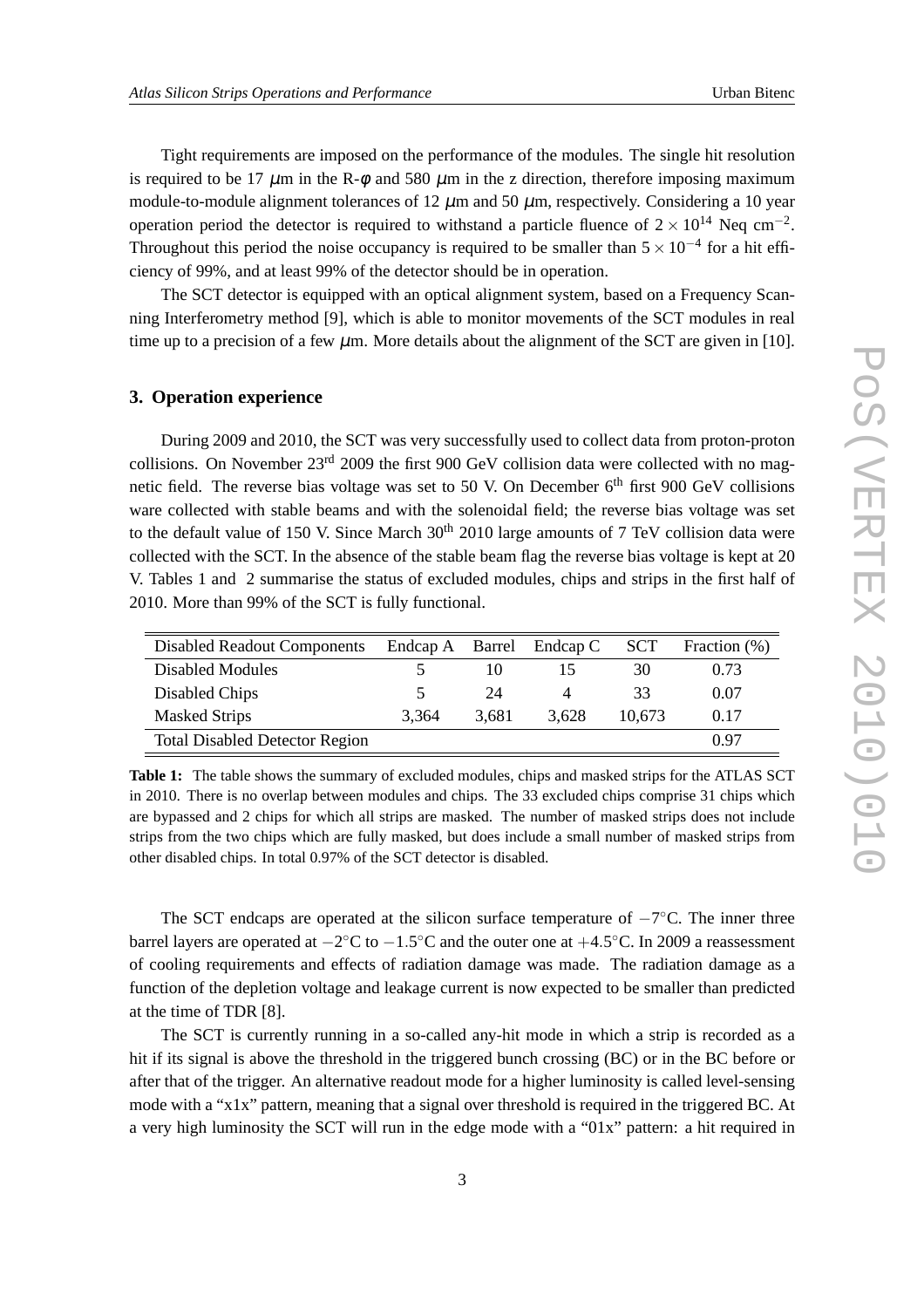Tight requirements are imposed on the performance of the modules. The single hit resolution is required to be 17  $\mu$ m in the R- $\phi$  and 580  $\mu$ m in the z direction, therefore imposing maximum module-to-module alignment tolerances of 12  $\mu$ m and 50  $\mu$ m, respectively. Considering a 10 year operation period the detector is required to withstand a particle fluence of  $2 \times 10^{14}$  Neq cm<sup>-2</sup>. Throughout this period the noise occupancy is required to be smaller than  $5 \times 10^{-4}$  for a hit efficiency of 99%, and at least 99% of the detector should be in operation.

The SCT detector is equipped with an optical alignment system, based on a Frequency Scanning Interferometry method [9], which is able to monitor movements of the SCT modules in real time up to a precision of a few  $\mu$ m. More details about the alignment of the SCT are given in [10].

#### **3. Operation experience**

During 2009 and 2010, the SCT was very successfully used to collect data from proton-proton collisions. On November 23<sup>rd</sup> 2009 the first 900 GeV collision data were collected with no magnetic field. The reverse bias voltage was set to 50 V. On December 6<sup>th</sup> first 900 GeV collisions ware collected with stable beams and with the solenoidal field; the reverse bias voltage was set to the default value of 150 V. Since March  $30<sup>th</sup>$  2010 large amounts of 7 TeV collision data were collected with the SCT. In the absence of the stable beam flag the reverse bias voltage is kept at 20 V. Tables 1 and 2 summarise the status of excluded modules, chips and strips in the first half of 2010. More than 99% of the SCT is fully functional.

| <b>Disabled Readout Components</b>    |       |       | Endcap A Barrel Endcap C | <b>SCT</b> | Fraction (%) |
|---------------------------------------|-------|-------|--------------------------|------------|--------------|
| <b>Disabled Modules</b>               |       | 10    |                          | 30         | 0.73         |
| Disabled Chips                        | 5     | 24    | $\overline{4}$           | 33         | 0.07         |
| <b>Masked Strips</b>                  | 3.364 | 3.681 | 3.628                    | 10.673     | 0.17         |
| <b>Total Disabled Detector Region</b> |       |       |                          |            | በ 97         |

**Table 1:** The table shows the summary of excluded modules, chips and masked strips for the ATLAS SCT in 2010. There is no overlap between modules and chips. The 33 excluded chips comprise 31 chips which are bypassed and 2 chips for which all strips are masked. The number of masked strips does not include strips from the two chips which are fully masked, but does include a small number of masked strips from other disabled chips. In total 0.97% of the SCT detector is disabled.

The SCT endcaps are operated at the silicon surface temperature of  $-7^{\circ}$ C. The inner three barrel layers are operated at  $-2^{\circ}\text{C}$  to  $-1.5^{\circ}\text{C}$  and the outer one at  $+4.5^{\circ}\text{C}$ . In 2009 a reassessment of cooling requirements and effects of radiation damage was made. The radiation damage as a function of the depletion voltage and leakage current is now expected to be smaller than predicted at the time of TDR [8].

The SCT is currently running in a so-called any-hit mode in which a strip is recorded as a hit if its signal is above the threshold in the triggered bunch crossing (BC) or in the BC before or after that of the trigger. An alternative readout mode for a higher luminosity is called level-sensing mode with a "x1x" pattern, meaning that a signal over threshold is required in the triggered BC. At a very high luminosity the SCT will run in the edge mode with a "01x" pattern: a hit required in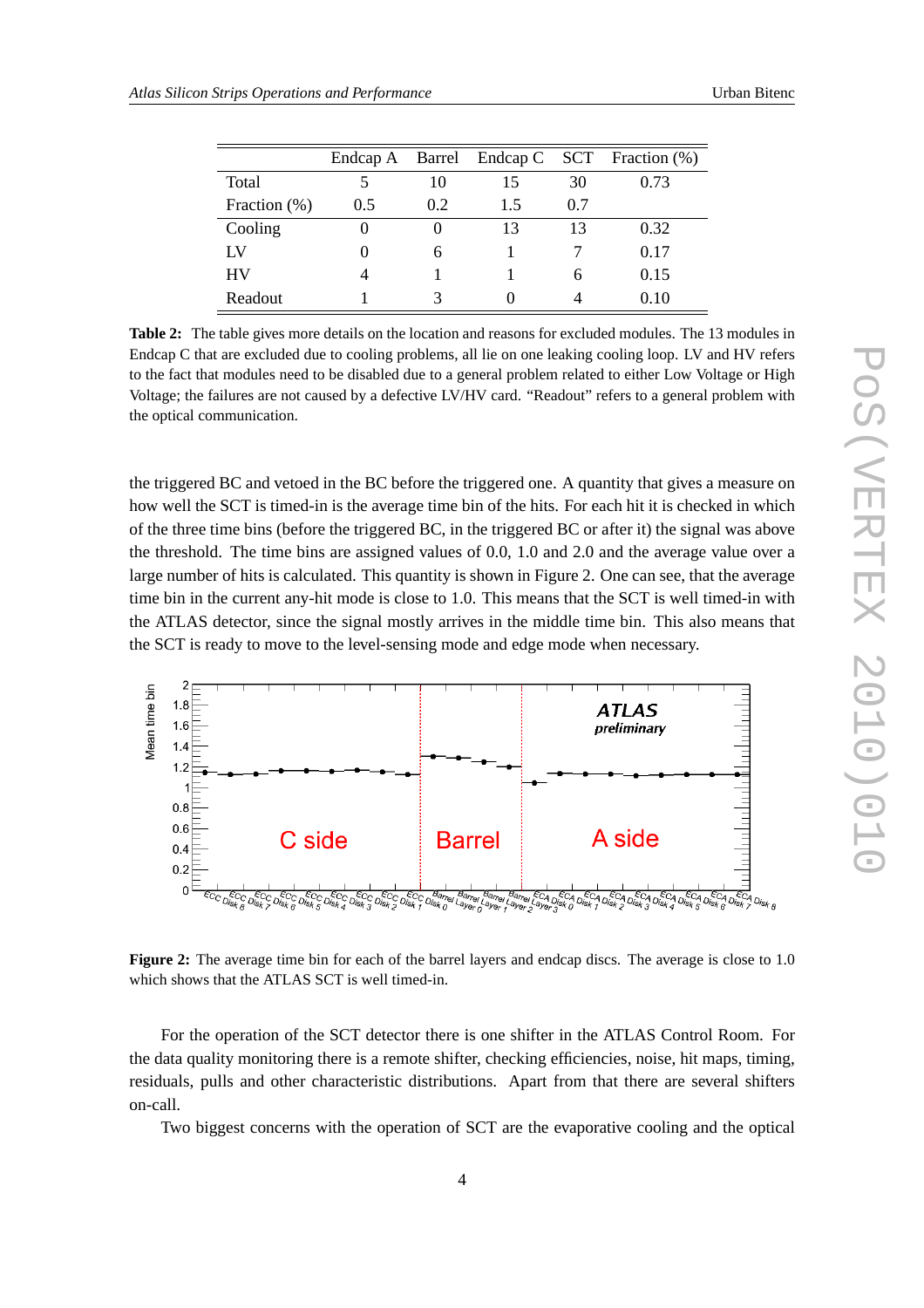|                 |        |     |     |     | Endcap A Barrel Endcap C SCT Fraction (%) |
|-----------------|--------|-----|-----|-----|-------------------------------------------|
| Total           |        | 10  | 15  | 30  | 0.73                                      |
| Fraction $(\%)$ | 0.5    | 0.2 | 1.5 | 0.7 |                                           |
| Cooling         | $_{0}$ |     | 13  | 13  | 0.32                                      |
| $_{\rm LV}$     | $_{0}$ | 6   |     |     | 0.17                                      |
| HV              | 4      |     |     | h   | 0.15                                      |
| Readout         |        |     |     |     | 0.10                                      |

**Table 2:** The table gives more details on the location and reasons for excluded modules. The 13 modules in Endcap C that are excluded due to cooling problems, all lie on one leaking cooling loop. LV and HV refers to the fact that modules need to be disabled due to a general problem related to either Low Voltage or High Voltage; the failures are not caused by a defective LV/HV card. "Readout" refers to a general problem with the optical communication.

the triggered BC and vetoed in the BC before the triggered one. A quantity that gives a measure on how well the SCT is timed-in is the average time bin of the hits. For each hit it is checked in which of the three time bins (before the triggered BC, in the triggered BC or after it) the signal was above the threshold. The time bins are assigned values of 0.0, 1.0 and 2.0 and the average value over a large number of hits is calculated. This quantity is shown in Figure 2. One can see, that the average time bin in the current any-hit mode is close to 1.0. This means that the SCT is well timed-in with the ATLAS detector, since the signal mostly arrives in the middle time bin. This also means that the SCT is ready to move to the level-sensing mode and edge mode when necessary.



Figure 2: The average time bin for each of the barrel layers and endcap discs. The average is close to 1.0 which shows that the ATLAS SCT is well timed-in.

For the operation of the SCT detector there is one shifter in the ATLAS Control Room. For the data quality monitoring there is a remote shifter, checking efficiencies, noise, hit maps, timing, residuals, pulls and other characteristic distributions. Apart from that there are several shifters on-call.

Two biggest concerns with the operation of SCT are the evaporative cooling and the optical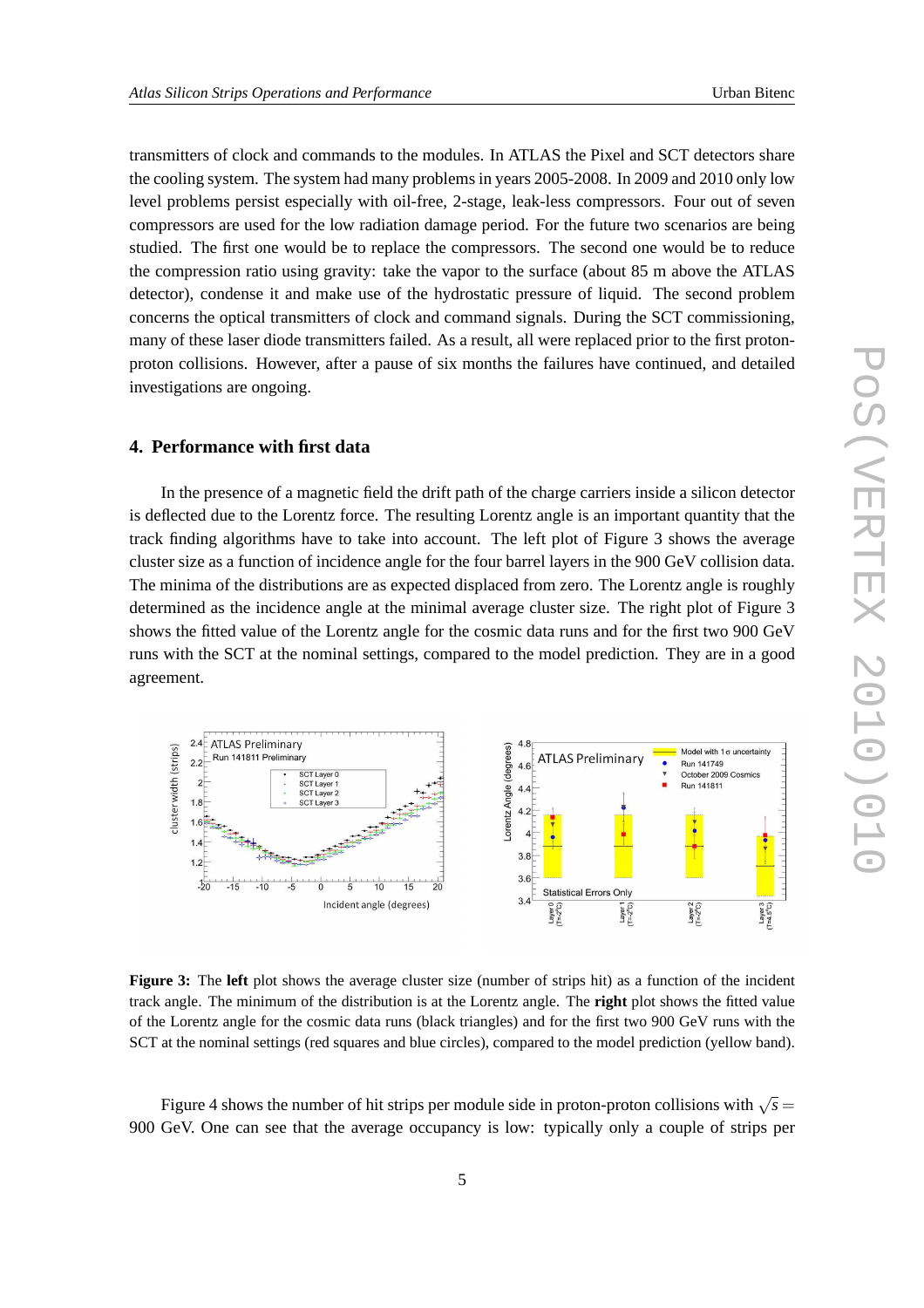transmitters of clock and commands to the modules. In ATLAS the Pixel and SCT detectors share the cooling system. The system had many problems in years 2005-2008. In 2009 and 2010 only low level problems persist especially with oil-free, 2-stage, leak-less compressors. Four out of seven compressors are used for the low radiation damage period. For the future two scenarios are being studied. The first one would be to replace the compressors. The second one would be to reduce the compression ratio using gravity: take the vapor to the surface (about 85 m above the ATLAS detector), condense it and make use of the hydrostatic pressure of liquid. The second problem concerns the optical transmitters of clock and command signals. During the SCT commissioning, many of these laser diode transmitters failed. As a result, all were replaced prior to the first protonproton collisions. However, after a pause of six months the failures have continued, and detailed investigations are ongoing.

#### **4. Performance with first data**

In the presence of a magnetic field the drift path of the charge carriers inside a silicon detector is deflected due to the Lorentz force. The resulting Lorentz angle is an important quantity that the track finding algorithms have to take into account. The left plot of Figure 3 shows the average cluster size as a function of incidence angle for the four barrel layers in the 900 GeV collision data. The minima of the distributions are as expected displaced from zero. The Lorentz angle is roughly determined as the incidence angle at the minimal average cluster size. The right plot of Figure 3 shows the fitted value of the Lorentz angle for the cosmic data runs and for the first two 900 GeV runs with the SCT at the nominal settings, compared to the model prediction. They are in a good agreement.



**Figure 3:** The **left** plot shows the average cluster size (number of strips hit) as a function of the incident track angle. The minimum of the distribution is at the Lorentz angle. The **right** plot shows the fitted value of the Lorentz angle for the cosmic data runs (black triangles) and for the first two 900 GeV runs with the SCT at the nominal settings (red squares and blue circles), compared to the model prediction (yellow band).

Figure 4 shows the number of hit strips per module side in proton-proton collisions with  $\sqrt{s}$  = 900 GeV. One can see that the average occupancy is low: typically only a couple of strips per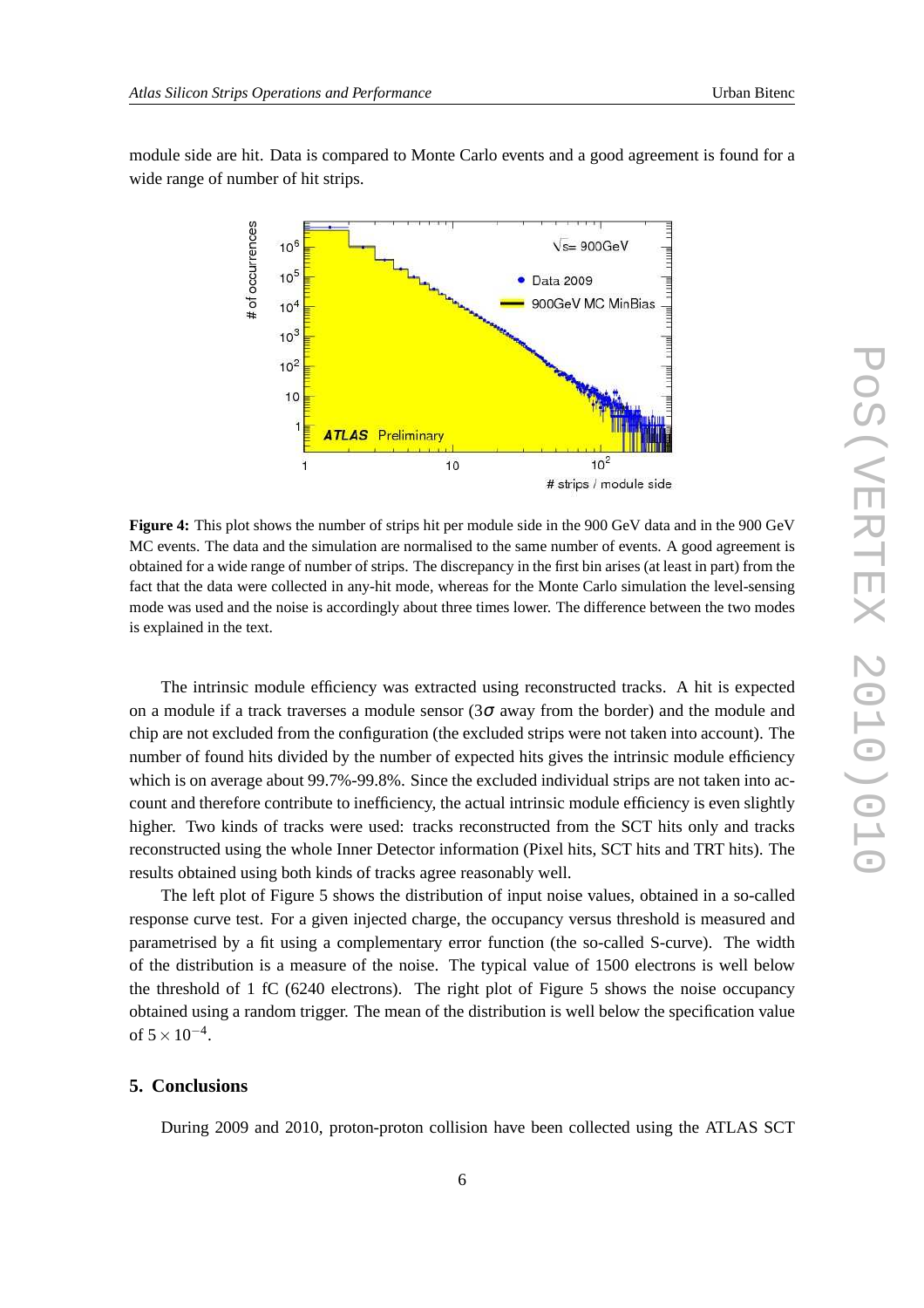module side are hit. Data is compared to Monte Carlo events and a good agreement is found for a wide range of number of hit strips.



**Figure 4:** This plot shows the number of strips hit per module side in the 900 GeV data and in the 900 GeV MC events. The data and the simulation are normalised to the same number of events. A good agreement is obtained for a wide range of number of strips. The discrepancy in the first bin arises (at least in part) from the fact that the data were collected in any-hit mode, whereas for the Monte Carlo simulation the level-sensing mode was used and the noise is accordingly about three times lower. The difference between the two modes is explained in the text.

The intrinsic module efficiency was extracted using reconstructed tracks. A hit is expected on a module if a track traverses a module sensor  $(3\sigma)$  away from the border) and the module and chip are not excluded from the configuration (the excluded strips were not taken into account). The number of found hits divided by the number of expected hits gives the intrinsic module efficiency which is on average about 99.7%-99.8%. Since the excluded individual strips are not taken into account and therefore contribute to inefficiency, the actual intrinsic module efficiency is even slightly higher. Two kinds of tracks were used: tracks reconstructed from the SCT hits only and tracks reconstructed using the whole Inner Detector information (Pixel hits, SCT hits and TRT hits). The results obtained using both kinds of tracks agree reasonably well.

The left plot of Figure 5 shows the distribution of input noise values, obtained in a so-called response curve test. For a given injected charge, the occupancy versus threshold is measured and parametrised by a fit using a complementary error function (the so-called S-curve). The width of the distribution is a measure of the noise. The typical value of 1500 electrons is well below the threshold of 1 fC (6240 electrons). The right plot of Figure 5 shows the noise occupancy obtained using a random trigger. The mean of the distribution is well below the specification value of  $5 \times 10^{-4}$ .

#### **5. Conclusions**

During 2009 and 2010, proton-proton collision have been collected using the ATLAS SCT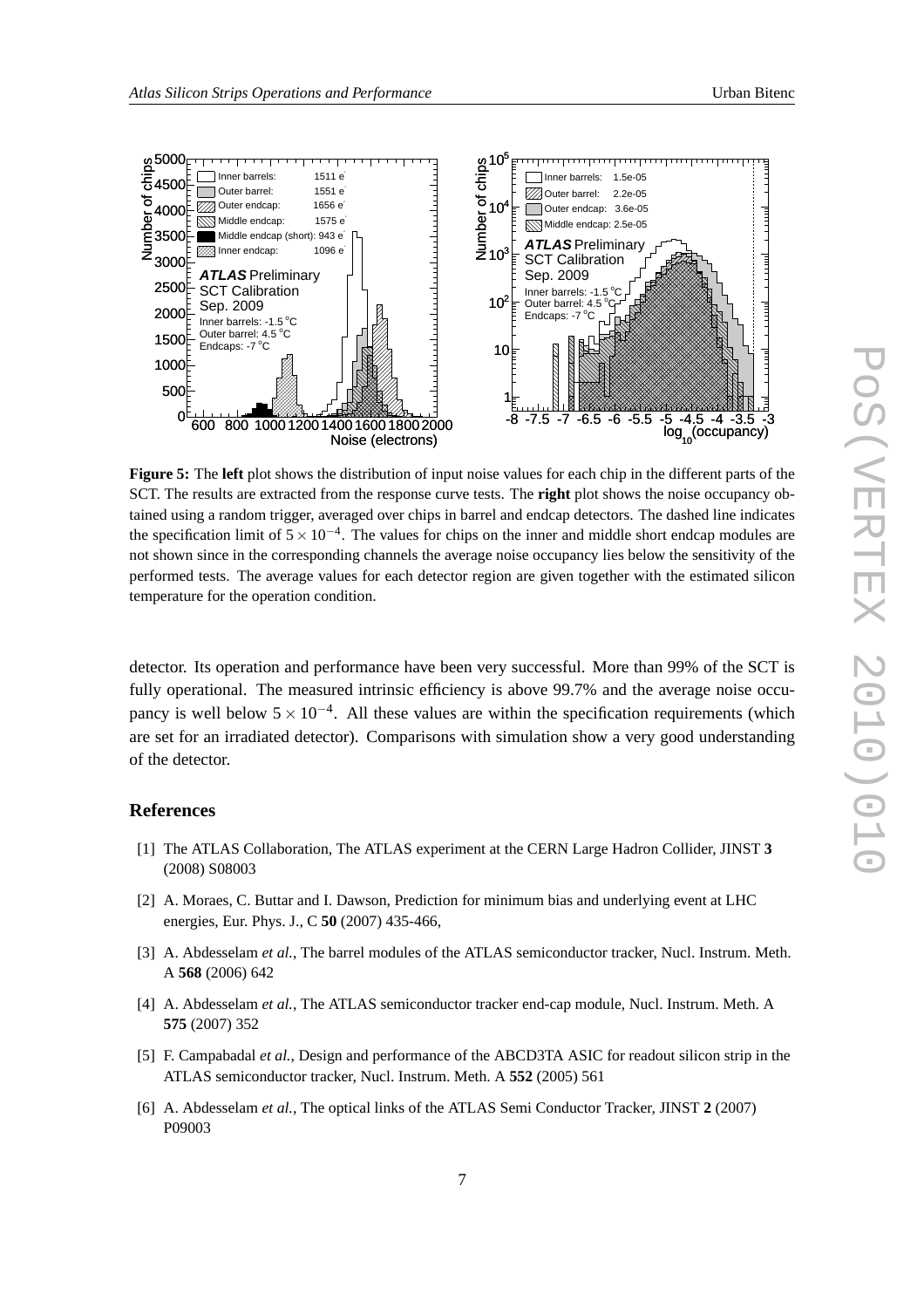

**Figure 5:** The **left** plot shows the distribution of input noise values for each chip in the different parts of the SCT. The results are extracted from the response curve tests. The **right** plot shows the noise occupancy obtained using a random trigger, averaged over chips in barrel and endcap detectors. The dashed line indicates the specification limit of  $5 \times 10^{-4}$ . The values for chips on the inner and middle short endcap modules are not shown since in the corresponding channels the average noise occupancy lies below the sensitivity of the performed tests. The average values for each detector region are given together with the estimated silicon temperature for the operation condition.

detector. Its operation and performance have been very successful. More than 99% of the SCT is fully operational. The measured intrinsic efficiency is above 99.7% and the average noise occupancy is well below  $5 \times 10^{-4}$ . All these values are within the specification requirements (which are set for an irradiated detector). Comparisons with simulation show a very good understanding of the detector.

#### **References**

- [1] The ATLAS Collaboration, The ATLAS experiment at the CERN Large Hadron Collider, JINST **3** (2008) S08003
- [2] A. Moraes, C. Buttar and I. Dawson, Prediction for minimum bias and underlying event at LHC energies, Eur. Phys. J., C **50** (2007) 435-466,
- [3] A. Abdesselam *et al.*, The barrel modules of the ATLAS semiconductor tracker, Nucl. Instrum. Meth. A **568** (2006) 642
- [4] A. Abdesselam *et al.*, The ATLAS semiconductor tracker end-cap module, Nucl. Instrum. Meth. A **575** (2007) 352
- [5] F. Campabadal *et al.*, Design and performance of the ABCD3TA ASIC for readout silicon strip in the ATLAS semiconductor tracker, Nucl. Instrum. Meth. A **552** (2005) 561
- [6] A. Abdesselam *et al.*, The optical links of the ATLAS Semi Conductor Tracker, JINST **2** (2007) P09003